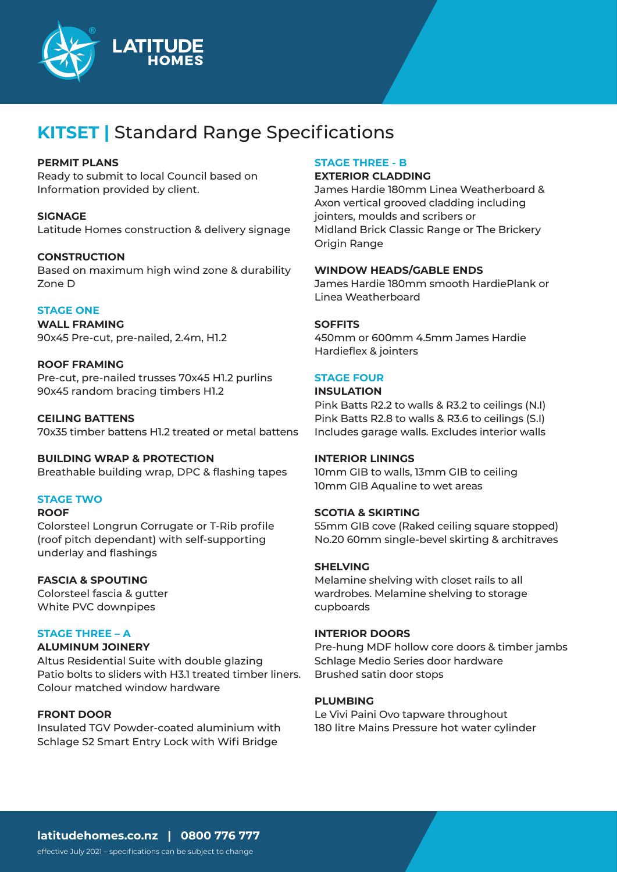

# **KITSET |** Standard Range Specifications

#### **PERMIT PLANS**

Ready to submit to local Council based on Information provided by client.

**SIGNAGE** Latitude Homes construction & delivery signage

# **CONSTRUCTION**

Based on maximum high wind zone & durability Zone D

# **STAGE ONE**

**WALL FRAMING** 90x45 Pre-cut, pre-nailed, 2.4m, H1.2

# **ROOF FRAMING**

Pre-cut, pre-nailed trusses 70x45 H1.2 purlins 90x45 random bracing timbers H1.2

**CEILING BATTENS** 70x35 timber battens H1.2 treated or metal battens

**BUILDING WRAP & PROTECTION** Breathable building wrap, DPC & flashing tapes

# **STAGE TWO**

#### **ROOF**

Colorsteel Longrun Corrugate or T-Rib profile (roof pitch dependant) with self-supporting underlay and flashings

#### **FASCIA & SPOUTING**

Colorsteel fascia & gutter White PVC downpipes

#### **STAGE THREE – A**

#### **ALUMINUM JOINERY**

Altus Residential Suite with double glazing Patio bolts to sliders with H3.1 treated timber liners. Colour matched window hardware

# **FRONT DOOR**

Insulated TGV Powder-coated aluminium with Schlage S2 Smart Entry Lock with Wifi Bridge

# **STAGE THREE - B**

#### **EXTERIOR CLADDING**

James Hardie 180mm Linea Weatherboard & Axon vertical grooved cladding including jointers, moulds and scribers or Midland Brick Classic Range or The Brickery Origin Range

# **WINDOW HEADS/GABLE ENDS**

James Hardie 180mm smooth HardiePlank or Linea Weatherboard

#### **SOFFITS**

450mm or 600mm 4.5mm James Hardie Hardieflex & jointers

# **STAGE FOUR**

# **INSULATION**

Pink Batts R2.2 to walls & R3.2 to ceilings (N.I) Pink Batts R2.8 to walls & R3.6 to ceilings (S.I) Includes garage walls. Excludes interior walls

#### **INTERIOR LININGS**

10mm GIB to walls, 13mm GIB to ceiling 10mm GIB Aqualine to wet areas

#### **SCOTIA & SKIRTING**

55mm GIB cove (Raked ceiling square stopped) No.20 60mm single-bevel skirting & architraves

#### **SHELVING**

Melamine shelving with closet rails to all wardrobes. Melamine shelving to storage cupboards

#### **INTERIOR DOORS**

Pre-hung MDF hollow core doors & timber jambs Schlage Medio Series door hardware Brushed satin door stops

#### **PLUMBING**

Le Vivi Paini Ovo tapware throughout 180 litre Mains Pressure hot water cylinder